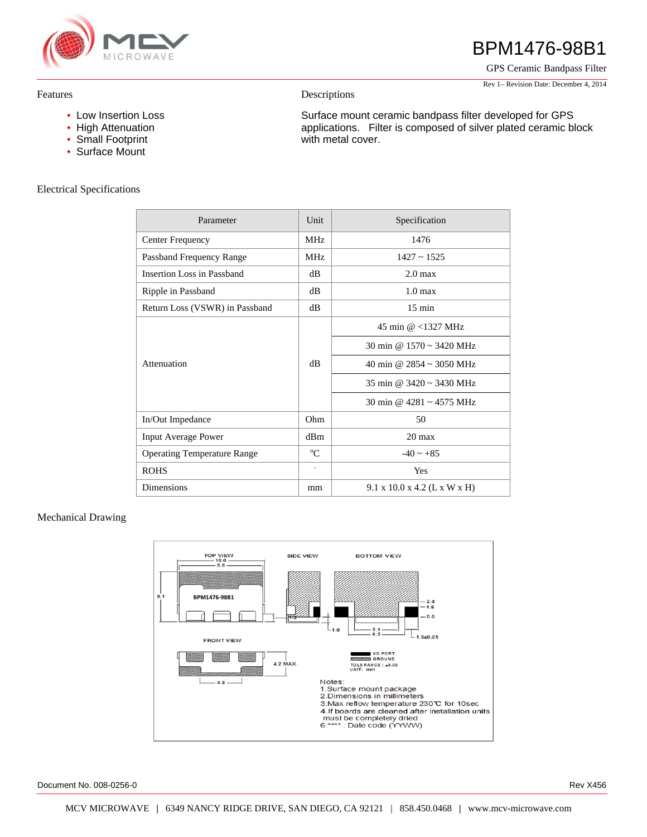

#### Features

- Low Insertion Loss
- High Attenuation
- Small Footprint
- Surface Mount

## Electrical Specifications

# BPM1476-98B1

GPS Ceramic Bandpass Filter

Rev 1– Revision Date: December 4, 2014

#### Descriptions

Surface mount ceramic bandpass filter developed for GPS applications. Filter is composed of silver plated ceramic block with metal cover.

| Parameter                          | Unit        | Specification                            |
|------------------------------------|-------------|------------------------------------------|
| <b>Center Frequency</b>            | <b>MHz</b>  | 1476                                     |
| Passband Frequency Range           | <b>MHz</b>  | $1427 - 1525$                            |
| Insertion Loss in Passband         | dB          | 2.0 <sub>max</sub>                       |
| Ripple in Passband                 | dB          | 1.0 <sub>max</sub>                       |
| Return Loss (VSWR) in Passband     | dB          | $15 \text{ min}$                         |
| Attenuation                        | $\rm dB$    | 45 min @ <1327 MHz                       |
|                                    |             | 30 min @ $1570 \sim 3420$ MHz            |
|                                    |             | 40 min @ $2854 \approx 3050$ MHz         |
|                                    |             | 35 min @ $3420 \approx 3430$ MHz         |
|                                    |             | 30 min @ 4281 ~ 4575 MHz                 |
| In/Out Impedance                   | Ohm         | 50                                       |
| <b>Input Average Power</b>         | dBm         | $20 \text{ max}$                         |
| <b>Operating Temperature Range</b> | $\rm ^{o}C$ | $-40 \sim +85$                           |
| <b>ROHS</b>                        |             | Yes                                      |
| <b>Dimensions</b>                  | mm          | $9.1 \times 10.0 \times 4.2$ (L x W x H) |

### Mechanical Drawing



Document No. 008-0256-0 Rev X456